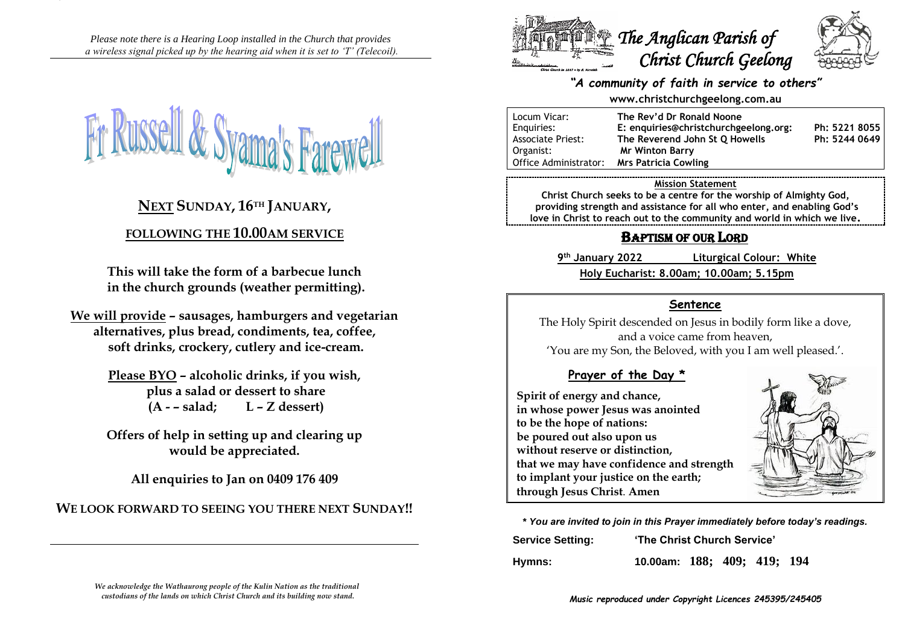*Please note there is a Hearing Loop installed in the Church that provides a wireless signal picked up by the hearing aid when it is set to 'T' (Telecoil).*



# **NEXT SUNDAY, 16TH JANUARY,**

## **FOLLOWING THE 10.00AM SERVICE**

**This will take the form of a barbecue lunch in the church grounds (weather permitting).**

**We will provide – sausages, hamburgers and vegetarian alternatives, plus bread, condiments, tea, coffee, soft drinks, crockery, cutlery and ice-cream.**

> **Please BYO – alcoholic drinks, if you wish, plus a salad or dessert to share (A - – salad; L – Z dessert)**

> **Offers of help in setting up and clearing up would be appreciated.**

**All enquiries to Jan on 0409 176 409**

**WE LOOK FORWARD TO SEEING YOU THERE NEXT SUNDAY!!**



#### *"A community of faith in service to others"*

#### **www.christchurchgeelong.com.au**

| Locum Vicar:             | The Rev'd Dr Ronald Noone             |               |
|--------------------------|---------------------------------------|---------------|
| Enguiries:               | E: enquiries@christchurchgeelong.org: | Ph: 5221 8055 |
| <b>Associate Priest:</b> | The Reverend John St O Howells        | Ph: 5244 0649 |
| Organist:                | <b>Mr Winton Barry</b>                |               |
| Office Administrator:    | <b>Mrs Patricia Cowling</b>           |               |

#### **Mission Statement**

**Christ Church seeks to be a centre for the worship of Almighty God, providing strength and assistance for all who enter, and enabling God's love in Christ to reach out to the community and world in which we live.**

# BAPTISM OF OUR LORD

**9 th January 2022 Liturgical Colour: White Holy Eucharist: 8.00am; 10.00am; 5.15pm**

### **Sentence**

The Holy Spirit descended on Jesus in bodily form like a dove, and a voice came from heaven,

'You are my Son, the Beloved, with you I am well pleased.'.

## **Prayer of the Day \***

**Spirit of energy and chance, in whose power Jesus was anointed to be the hope of nations: be poured out also upon us without reserve or distinction, that we may have confidence and strength to implant your justice on the earth; through Jesus Christ**. **Amen**



**\*** *You are invited to join in this Prayer immediately before today's readings.* **Service Setting: 'The Christ Church Service'**

**Hymns: 10.00am: 188; 409; 419; 194**